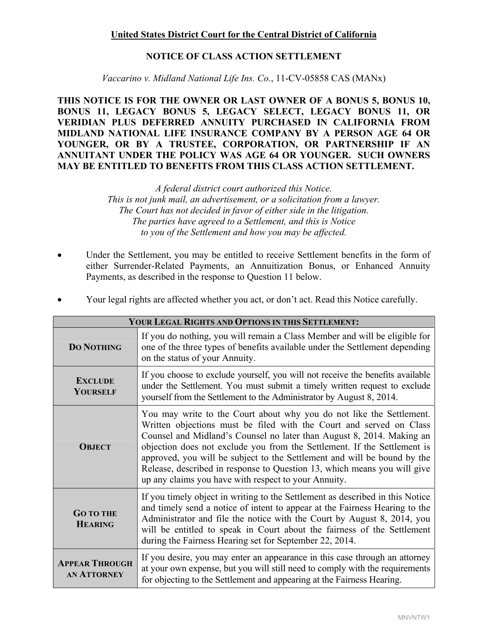# **United States District Court for the Central District of California**

# **NOTICE OF CLASS ACTION SETTLEMENT**

*Vaccarino v. Midland National Life Ins. Co.*, 11-CV-05858 CAS (MANx)

**THIS NOTICE IS FOR THE OWNER OR LAST OWNER OF A BONUS 5, BONUS 10, BONUS 11, LEGACY BONUS 5, LEGACY SELECT, LEGACY BONUS 11, OR VERIDIAN PLUS DEFERRED ANNUITY PURCHASED IN CALIFORNIA FROM MIDLAND NATIONAL LIFE INSURANCE COMPANY BY A PERSON AGE 64 OR YOUNGER, OR BY A TRUSTEE, CORPORATION, OR PARTNERSHIP IF AN ANNUITANT UNDER THE POLICY WAS AGE 64 OR YOUNGER. SUCH OWNERS MAY BE ENTITLED TO BENEFITS FROM THIS CLASS ACTION SETTLEMENT.** 

> *A federal district court authorized this Notice. This is not junk mail, an advertisement, or a solicitation from a lawyer. The Court has not decided in favor of either side in the litigation. The parties have agreed to a Settlement, and this is Notice to you of the Settlement and how you may be affected.*

Under the Settlement, you may be entitled to receive Settlement benefits in the form of either Surrender-Related Payments, an Annuitization Bonus, or Enhanced Annuity Payments, as described in the response to Question 11 below.

| YOUR LEGAL RIGHTS AND OPTIONS IN THIS SETTLEMENT: |                                                                                                                                                                                                                                                                                                                                                                                                                                                                                                                  |
|---------------------------------------------------|------------------------------------------------------------------------------------------------------------------------------------------------------------------------------------------------------------------------------------------------------------------------------------------------------------------------------------------------------------------------------------------------------------------------------------------------------------------------------------------------------------------|
| <b>DO NOTHING</b>                                 | If you do nothing, you will remain a Class Member and will be eligible for<br>one of the three types of benefits available under the Settlement depending<br>on the status of your Annuity.                                                                                                                                                                                                                                                                                                                      |
| <b>EXCLUDE</b><br>YOURSELF                        | If you choose to exclude yourself, you will not receive the benefits available<br>under the Settlement. You must submit a timely written request to exclude<br>yourself from the Settlement to the Administrator by August 8, 2014.                                                                                                                                                                                                                                                                              |
| <b>OBJECT</b>                                     | You may write to the Court about why you do not like the Settlement.<br>Written objections must be filed with the Court and served on Class<br>Counsel and Midland's Counsel no later than August 8, 2014. Making an<br>objection does not exclude you from the Settlement. If the Settlement is<br>approved, you will be subject to the Settlement and will be bound by the<br>Release, described in response to Question 13, which means you will give<br>up any claims you have with respect to your Annuity. |
| <b>GO TO THE</b><br><b>HEARING</b>                | If you timely object in writing to the Settlement as described in this Notice<br>and timely send a notice of intent to appear at the Fairness Hearing to the<br>Administrator and file the notice with the Court by August 8, 2014, you<br>will be entitled to speak in Court about the fairness of the Settlement<br>during the Fairness Hearing set for September 22, 2014.                                                                                                                                    |
| <b>APPEAR THROUGH</b><br><b>AN ATTORNEY</b>       | If you desire, you may enter an appearance in this case through an attorney<br>at your own expense, but you will still need to comply with the requirements<br>for objecting to the Settlement and appearing at the Fairness Hearing.                                                                                                                                                                                                                                                                            |

• Your legal rights are affected whether you act, or don't act. Read this Notice carefully.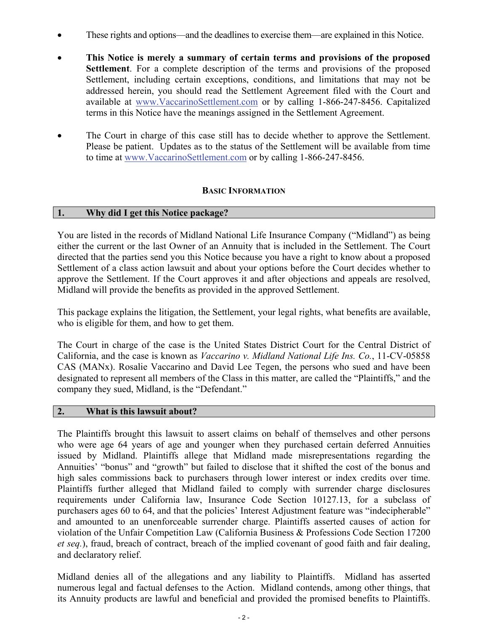- These rights and options—and the deadlines to exercise them—are explained in this Notice.
- **This Notice is merely a summary of certain terms and provisions of the proposed Settlement**. For a complete description of the terms and provisions of the proposed Settlement, including certain exceptions, conditions, and limitations that may not be addressed herein, you should read the Settlement Agreement filed with the Court and available at www.VaccarinoSettlement.com or by calling 1-866-247-8456. Capitalized terms in this Notice have the meanings assigned in the Settlement Agreement.
- The Court in charge of this case still has to decide whether to approve the Settlement. Please be patient. Updates as to the status of the Settlement will be available from time to time at www.VaccarinoSettlement.com or by calling 1-866-247-8456.

# **BASIC INFORMATION**

# **1. Why did I get this Notice package?**

You are listed in the records of Midland National Life Insurance Company ("Midland") as being either the current or the last Owner of an Annuity that is included in the Settlement. The Court directed that the parties send you this Notice because you have a right to know about a proposed Settlement of a class action lawsuit and about your options before the Court decides whether to approve the Settlement. If the Court approves it and after objections and appeals are resolved, Midland will provide the benefits as provided in the approved Settlement.

This package explains the litigation, the Settlement, your legal rights, what benefits are available, who is eligible for them, and how to get them.

The Court in charge of the case is the United States District Court for the Central District of California, and the case is known as *Vaccarino v. Midland National Life Ins. Co.*, 11-CV-05858 CAS (MANx). Rosalie Vaccarino and David Lee Tegen, the persons who sued and have been designated to represent all members of the Class in this matter, are called the "Plaintiffs," and the company they sued, Midland, is the "Defendant."

# **2. What is this lawsuit about?**

The Plaintiffs brought this lawsuit to assert claims on behalf of themselves and other persons who were age 64 years of age and younger when they purchased certain deferred Annuities issued by Midland. Plaintiffs allege that Midland made misrepresentations regarding the Annuities' "bonus" and "growth" but failed to disclose that it shifted the cost of the bonus and high sales commissions back to purchasers through lower interest or index credits over time. Plaintiffs further alleged that Midland failed to comply with surrender charge disclosures requirements under California law, Insurance Code Section 10127.13, for a subclass of purchasers ages 60 to 64, and that the policies' Interest Adjustment feature was "indecipherable" and amounted to an unenforceable surrender charge. Plaintiffs asserted causes of action for violation of the Unfair Competition Law (California Business & Professions Code Section 17200 *et seq.*), fraud, breach of contract, breach of the implied covenant of good faith and fair dealing, and declaratory relief.

Midland denies all of the allegations and any liability to Plaintiffs. Midland has asserted numerous legal and factual defenses to the Action. Midland contends, among other things, that its Annuity products are lawful and beneficial and provided the promised benefits to Plaintiffs.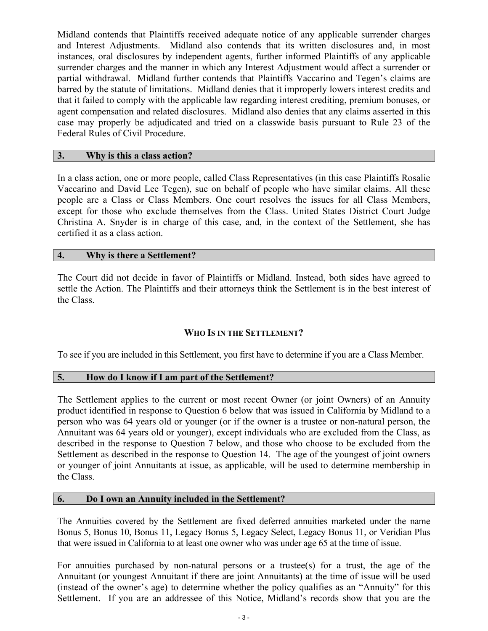Midland contends that Plaintiffs received adequate notice of any applicable surrender charges and Interest Adjustments. Midland also contends that its written disclosures and, in most instances, oral disclosures by independent agents, further informed Plaintiffs of any applicable surrender charges and the manner in which any Interest Adjustment would affect a surrender or partial withdrawal. Midland further contends that Plaintiffs Vaccarino and Tegen's claims are barred by the statute of limitations. Midland denies that it improperly lowers interest credits and that it failed to comply with the applicable law regarding interest crediting, premium bonuses, or agent compensation and related disclosures. Midland also denies that any claims asserted in this case may properly be adjudicated and tried on a classwide basis pursuant to Rule 23 of the Federal Rules of Civil Procedure.

# **3. Why is this a class action?**

In a class action, one or more people, called Class Representatives (in this case Plaintiffs Rosalie Vaccarino and David Lee Tegen), sue on behalf of people who have similar claims. All these people are a Class or Class Members. One court resolves the issues for all Class Members, except for those who exclude themselves from the Class. United States District Court Judge Christina A. Snyder is in charge of this case, and, in the context of the Settlement, she has certified it as a class action.

# **4. Why is there a Settlement?**

The Court did not decide in favor of Plaintiffs or Midland. Instead, both sides have agreed to settle the Action. The Plaintiffs and their attorneys think the Settlement is in the best interest of the Class.

# **WHO IS IN THE SETTLEMENT?**

To see if you are included in this Settlement, you first have to determine if you are a Class Member.

# **5. How do I know if I am part of the Settlement?**

The Settlement applies to the current or most recent Owner (or joint Owners) of an Annuity product identified in response to Question 6 below that was issued in California by Midland to a person who was 64 years old or younger (or if the owner is a trustee or non-natural person, the Annuitant was 64 years old or younger), except individuals who are excluded from the Class, as described in the response to Question 7 below, and those who choose to be excluded from the Settlement as described in the response to Question 14. The age of the youngest of joint owners or younger of joint Annuitants at issue, as applicable, will be used to determine membership in the Class.

# **6. Do I own an Annuity included in the Settlement?**

The Annuities covered by the Settlement are fixed deferred annuities marketed under the name Bonus 5, Bonus 10, Bonus 11, Legacy Bonus 5, Legacy Select, Legacy Bonus 11, or Veridian Plus that were issued in California to at least one owner who was under age 65 at the time of issue.

For annuities purchased by non-natural persons or a trustee(s) for a trust, the age of the Annuitant (or youngest Annuitant if there are joint Annuitants) at the time of issue will be used (instead of the owner's age) to determine whether the policy qualifies as an "Annuity" for this Settlement. If you are an addressee of this Notice, Midland's records show that you are the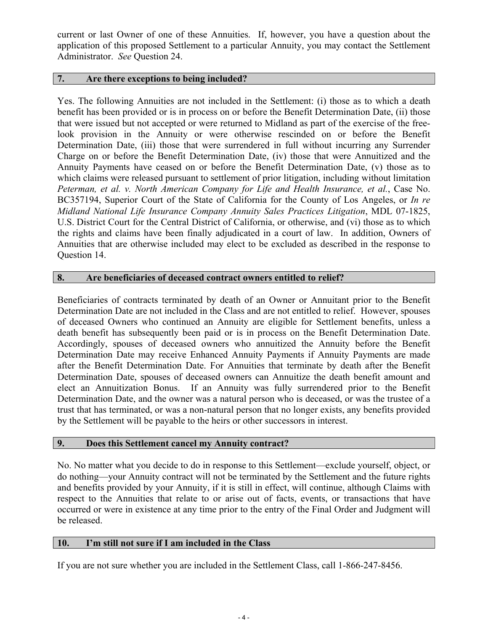current or last Owner of one of these Annuities. If, however, you have a question about the application of this proposed Settlement to a particular Annuity, you may contact the Settlement Administrator. *See* Question 24.

# **7. Are there exceptions to being included?**

Yes. The following Annuities are not included in the Settlement: (i) those as to which a death benefit has been provided or is in process on or before the Benefit Determination Date, (ii) those that were issued but not accepted or were returned to Midland as part of the exercise of the freelook provision in the Annuity or were otherwise rescinded on or before the Benefit Determination Date, (iii) those that were surrendered in full without incurring any Surrender Charge on or before the Benefit Determination Date, (iv) those that were Annuitized and the Annuity Payments have ceased on or before the Benefit Determination Date, (v) those as to which claims were released pursuant to settlement of prior litigation, including without limitation *Peterman, et al. v. North American Company for Life and Health Insurance, et al.*, Case No. BC357194, Superior Court of the State of California for the County of Los Angeles, or *In re Midland National Life Insurance Company Annuity Sales Practices Litigation*, MDL 07-1825, U.S. District Court for the Central District of California, or otherwise, and (vi) those as to which the rights and claims have been finally adjudicated in a court of law. In addition, Owners of Annuities that are otherwise included may elect to be excluded as described in the response to Question 14.

# **8. Are beneficiaries of deceased contract owners entitled to relief?**

Beneficiaries of contracts terminated by death of an Owner or Annuitant prior to the Benefit Determination Date are not included in the Class and are not entitled to relief. However, spouses of deceased Owners who continued an Annuity are eligible for Settlement benefits, unless a death benefit has subsequently been paid or is in process on the Benefit Determination Date. Accordingly, spouses of deceased owners who annuitized the Annuity before the Benefit Determination Date may receive Enhanced Annuity Payments if Annuity Payments are made after the Benefit Determination Date. For Annuities that terminate by death after the Benefit Determination Date, spouses of deceased owners can Annuitize the death benefit amount and elect an Annuitization Bonus. If an Annuity was fully surrendered prior to the Benefit Determination Date, and the owner was a natural person who is deceased, or was the trustee of a trust that has terminated, or was a non-natural person that no longer exists, any benefits provided by the Settlement will be payable to the heirs or other successors in interest.

# **9. Does this Settlement cancel my Annuity contract?**

No. No matter what you decide to do in response to this Settlement—exclude yourself, object, or do nothing—your Annuity contract will not be terminated by the Settlement and the future rights and benefits provided by your Annuity, if it is still in effect, will continue, although Claims with respect to the Annuities that relate to or arise out of facts, events, or transactions that have occurred or were in existence at any time prior to the entry of the Final Order and Judgment will be released.

# **10. I'm still not sure if I am included in the Class**

If you are not sure whether you are included in the Settlement Class, call 1-866-247-8456.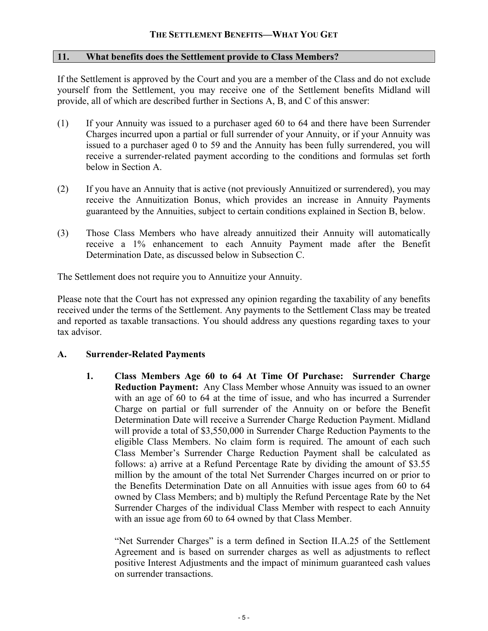# **11. What benefits does the Settlement provide to Class Members?**

If the Settlement is approved by the Court and you are a member of the Class and do not exclude yourself from the Settlement, you may receive one of the Settlement benefits Midland will provide, all of which are described further in Sections A, B, and C of this answer:

- (1) If your Annuity was issued to a purchaser aged 60 to 64 and there have been Surrender Charges incurred upon a partial or full surrender of your Annuity, or if your Annuity was issued to a purchaser aged 0 to 59 and the Annuity has been fully surrendered, you will receive a surrender-related payment according to the conditions and formulas set forth below in Section A.
- (2) If you have an Annuity that is active (not previously Annuitized or surrendered), you may receive the Annuitization Bonus, which provides an increase in Annuity Payments guaranteed by the Annuities, subject to certain conditions explained in Section B, below.
- (3) Those Class Members who have already annuitized their Annuity will automatically receive a 1% enhancement to each Annuity Payment made after the Benefit Determination Date, as discussed below in Subsection C.

The Settlement does not require you to Annuitize your Annuity.

Please note that the Court has not expressed any opinion regarding the taxability of any benefits received under the terms of the Settlement. Any payments to the Settlement Class may be treated and reported as taxable transactions. You should address any questions regarding taxes to your tax advisor.

# **A. Surrender-Related Payments**

**1. Class Members Age 60 to 64 At Time Of Purchase: Surrender Charge Reduction Payment:** Any Class Member whose Annuity was issued to an owner with an age of 60 to 64 at the time of issue, and who has incurred a Surrender Charge on partial or full surrender of the Annuity on or before the Benefit Determination Date will receive a Surrender Charge Reduction Payment. Midland will provide a total of \$3,550,000 in Surrender Charge Reduction Payments to the eligible Class Members. No claim form is required. The amount of each such Class Member's Surrender Charge Reduction Payment shall be calculated as follows: a) arrive at a Refund Percentage Rate by dividing the amount of \$3.55 million by the amount of the total Net Surrender Charges incurred on or prior to the Benefits Determination Date on all Annuities with issue ages from 60 to 64 owned by Class Members; and b) multiply the Refund Percentage Rate by the Net Surrender Charges of the individual Class Member with respect to each Annuity with an issue age from 60 to 64 owned by that Class Member.

"Net Surrender Charges" is a term defined in Section II.A.25 of the Settlement Agreement and is based on surrender charges as well as adjustments to reflect positive Interest Adjustments and the impact of minimum guaranteed cash values on surrender transactions.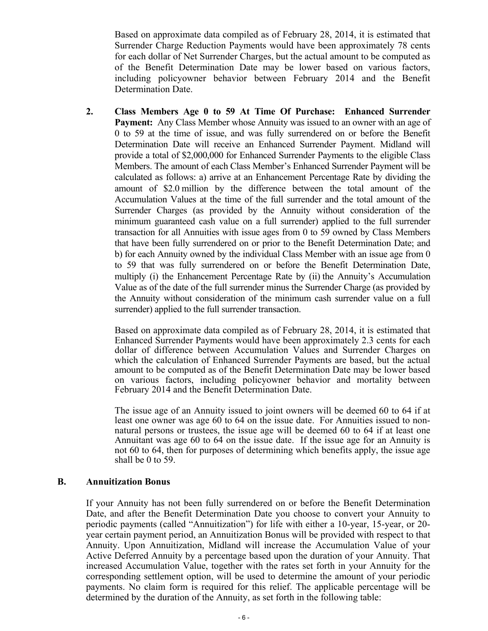Based on approximate data compiled as of February 28, 2014, it is estimated that Surrender Charge Reduction Payments would have been approximately 78 cents for each dollar of Net Surrender Charges, but the actual amount to be computed as of the Benefit Determination Date may be lower based on various factors, including policyowner behavior between February 2014 and the Benefit Determination Date.

**2. Class Members Age 0 to 59 At Time Of Purchase: Enhanced Surrender Payment:** Any Class Member whose Annuity was issued to an owner with an age of 0 to 59 at the time of issue, and was fully surrendered on or before the Benefit Determination Date will receive an Enhanced Surrender Payment. Midland will provide a total of \$2,000,000 for Enhanced Surrender Payments to the eligible Class Members. The amount of each Class Member's Enhanced Surrender Payment will be calculated as follows: a) arrive at an Enhancement Percentage Rate by dividing the amount of \$2.0 million by the difference between the total amount of the Accumulation Values at the time of the full surrender and the total amount of the Surrender Charges (as provided by the Annuity without consideration of the minimum guaranteed cash value on a full surrender) applied to the full surrender transaction for all Annuities with issue ages from 0 to 59 owned by Class Members that have been fully surrendered on or prior to the Benefit Determination Date; and b) for each Annuity owned by the individual Class Member with an issue age from 0 to 59 that was fully surrendered on or before the Benefit Determination Date, multiply (i) the Enhancement Percentage Rate by (ii) the Annuity's Accumulation Value as of the date of the full surrender minus the Surrender Charge (as provided by the Annuity without consideration of the minimum cash surrender value on a full surrender) applied to the full surrender transaction.

Based on approximate data compiled as of February 28, 2014, it is estimated that Enhanced Surrender Payments would have been approximately 2.3 cents for each dollar of difference between Accumulation Values and Surrender Charges on which the calculation of Enhanced Surrender Payments are based, but the actual amount to be computed as of the Benefit Determination Date may be lower based on various factors, including policyowner behavior and mortality between February 2014 and the Benefit Determination Date.

The issue age of an Annuity issued to joint owners will be deemed 60 to 64 if at least one owner was age 60 to 64 on the issue date. For Annuities issued to nonnatural persons or trustees, the issue age will be deemed 60 to 64 if at least one Annuitant was age 60 to 64 on the issue date. If the issue age for an Annuity is not 60 to 64, then for purposes of determining which benefits apply, the issue age shall be 0 to 59.

# **B. Annuitization Bonus**

If your Annuity has not been fully surrendered on or before the Benefit Determination Date, and after the Benefit Determination Date you choose to convert your Annuity to periodic payments (called "Annuitization") for life with either a 10-year, 15-year, or 20 year certain payment period, an Annuitization Bonus will be provided with respect to that Annuity. Upon Annuitization, Midland will increase the Accumulation Value of your Active Deferred Annuity by a percentage based upon the duration of your Annuity. That increased Accumulation Value, together with the rates set forth in your Annuity for the corresponding settlement option, will be used to determine the amount of your periodic payments. No claim form is required for this relief. The applicable percentage will be determined by the duration of the Annuity, as set forth in the following table: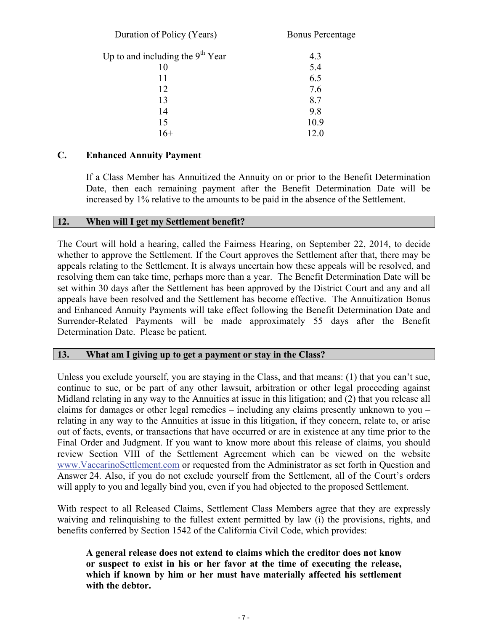| Duration of Policy (Years)         | <b>Bonus Percentage</b> |  |
|------------------------------------|-------------------------|--|
| Up to and including the $9th$ Year | 4.3                     |  |
| 10                                 | 5.4                     |  |
| 11                                 | 6.5                     |  |
| 12                                 | 7.6                     |  |
| 13                                 | 8.7                     |  |
| 14                                 | 9.8                     |  |
| 15                                 | 10.9                    |  |
| $16+$                              | 12.0                    |  |

# **C. Enhanced Annuity Payment**

If a Class Member has Annuitized the Annuity on or prior to the Benefit Determination Date, then each remaining payment after the Benefit Determination Date will be increased by 1% relative to the amounts to be paid in the absence of the Settlement.

# **12. When will I get my Settlement benefit?**

The Court will hold a hearing, called the Fairness Hearing, on September 22, 2014, to decide whether to approve the Settlement. If the Court approves the Settlement after that, there may be appeals relating to the Settlement. It is always uncertain how these appeals will be resolved, and resolving them can take time, perhaps more than a year. The Benefit Determination Date will be set within 30 days after the Settlement has been approved by the District Court and any and all appeals have been resolved and the Settlement has become effective. The Annuitization Bonus and Enhanced Annuity Payments will take effect following the Benefit Determination Date and Surrender-Related Payments will be made approximately 55 days after the Benefit Determination Date. Please be patient.

# **13. What am I giving up to get a payment or stay in the Class?**

Unless you exclude yourself, you are staying in the Class, and that means: (1) that you can't sue, continue to sue, or be part of any other lawsuit, arbitration or other legal proceeding against Midland relating in any way to the Annuities at issue in this litigation; and (2) that you release all claims for damages or other legal remedies – including any claims presently unknown to you – relating in any way to the Annuities at issue in this litigation, if they concern, relate to, or arise out of facts, events, or transactions that have occurred or are in existence at any time prior to the Final Order and Judgment. If you want to know more about this release of claims, you should review Section VIII of the Settlement Agreement which can be viewed on the website www.VaccarinoSettlement.com or requested from the Administrator as set forth in Question and Answer 24. Also, if you do not exclude yourself from the Settlement, all of the Court's orders will apply to you and legally bind you, even if you had objected to the proposed Settlement.

With respect to all Released Claims, Settlement Class Members agree that they are expressly waiving and relinquishing to the fullest extent permitted by law (i) the provisions, rights, and benefits conferred by Section 1542 of the California Civil Code, which provides:

**A general release does not extend to claims which the creditor does not know or suspect to exist in his or her favor at the time of executing the release, which if known by him or her must have materially affected his settlement with the debtor.**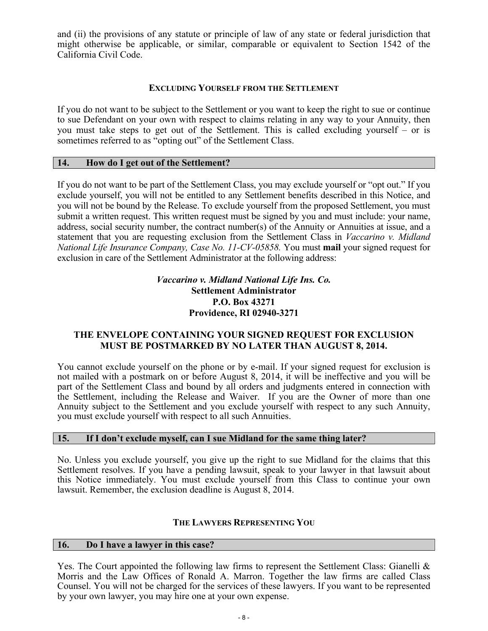and (ii) the provisions of any statute or principle of law of any state or federal jurisdiction that might otherwise be applicable, or similar, comparable or equivalent to Section 1542 of the California Civil Code.

# **EXCLUDING YOURSELF FROM THE SETTLEMENT**

If you do not want to be subject to the Settlement or you want to keep the right to sue or continue to sue Defendant on your own with respect to claims relating in any way to your Annuity, then you must take steps to get out of the Settlement. This is called excluding yourself – or is sometimes referred to as "opting out" of the Settlement Class.

# **14. How do I get out of the Settlement?**

If you do not want to be part of the Settlement Class, you may exclude yourself or "opt out." If you exclude yourself, you will not be entitled to any Settlement benefits described in this Notice, and you will not be bound by the Release. To exclude yourself from the proposed Settlement, you must submit a written request. This written request must be signed by you and must include: your name, address, social security number, the contract number(s) of the Annuity or Annuities at issue, and a statement that you are requesting exclusion from the Settlement Class in *Vaccarino v. Midland National Life Insurance Company, Case No. 11-CV-05858.* You must **mail** your signed request for exclusion in care of the Settlement Administrator at the following address:

# *Vaccarino v. Midland National Life Ins. Co.* **Settlement Administrator P.O. Box 43271 Providence, RI 02940-3271**

# **THE ENVELOPE CONTAINING YOUR SIGNED REQUEST FOR EXCLUSION MUST BE POSTMARKED BY NO LATER THAN AUGUST 8, 2014.**

You cannot exclude yourself on the phone or by e-mail. If your signed request for exclusion is not mailed with a postmark on or before August 8, 2014, it will be ineffective and you will be part of the Settlement Class and bound by all orders and judgments entered in connection with the Settlement, including the Release and Waiver. If you are the Owner of more than one Annuity subject to the Settlement and you exclude yourself with respect to any such Annuity, you must exclude yourself with respect to all such Annuities.

# **15. If I don't exclude myself, can I sue Midland for the same thing later?**

No. Unless you exclude yourself, you give up the right to sue Midland for the claims that this Settlement resolves. If you have a pending lawsuit, speak to your lawyer in that lawsuit about this Notice immediately. You must exclude yourself from this Class to continue your own lawsuit. Remember, the exclusion deadline is August 8, 2014.

# **THE LAWYERS REPRESENTING YOU**

#### **16. Do I have a lawyer in this case?**

Yes. The Court appointed the following law firms to represent the Settlement Class: Gianelli  $\&$ Morris and the Law Offices of Ronald A. Marron. Together the law firms are called Class Counsel. You will not be charged for the services of these lawyers. If you want to be represented by your own lawyer, you may hire one at your own expense.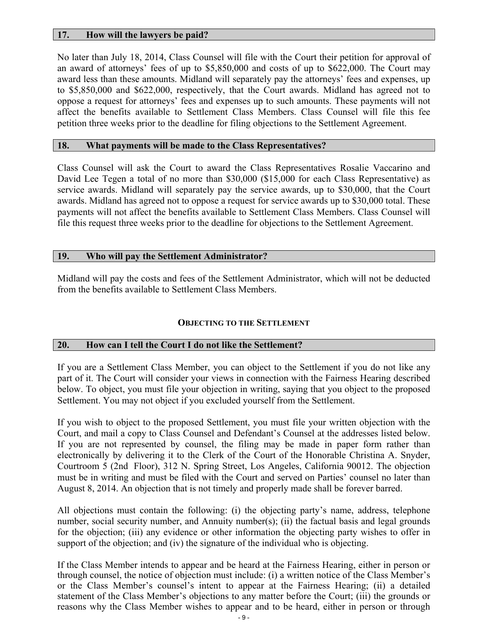# **17. How will the lawyers be paid?**

No later than July 18, 2014, Class Counsel will file with the Court their petition for approval of an award of attorneys' fees of up to \$5,850,000 and costs of up to \$622,000. The Court may award less than these amounts. Midland will separately pay the attorneys' fees and expenses, up to \$5,850,000 and \$622,000, respectively, that the Court awards. Midland has agreed not to oppose a request for attorneys' fees and expenses up to such amounts. These payments will not affect the benefits available to Settlement Class Members. Class Counsel will file this fee petition three weeks prior to the deadline for filing objections to the Settlement Agreement.

#### **18. What payments will be made to the Class Representatives?**

Class Counsel will ask the Court to award the Class Representatives Rosalie Vaccarino and David Lee Tegen a total of no more than \$30,000 (\$15,000 for each Class Representative) as service awards. Midland will separately pay the service awards, up to \$30,000, that the Court awards. Midland has agreed not to oppose a request for service awards up to \$30,000 total. These payments will not affect the benefits available to Settlement Class Members. Class Counsel will file this request three weeks prior to the deadline for objections to the Settlement Agreement.

# **19. Who will pay the Settlement Administrator?**

Midland will pay the costs and fees of the Settlement Administrator, which will not be deducted from the benefits available to Settlement Class Members.

# **OBJECTING TO THE SETTLEMENT**

# **20. How can I tell the Court I do not like the Settlement?**

If you are a Settlement Class Member, you can object to the Settlement if you do not like any part of it. The Court will consider your views in connection with the Fairness Hearing described below. To object, you must file your objection in writing, saying that you object to the proposed Settlement. You may not object if you excluded yourself from the Settlement.

If you wish to object to the proposed Settlement, you must file your written objection with the Court, and mail a copy to Class Counsel and Defendant's Counsel at the addresses listed below. If you are not represented by counsel, the filing may be made in paper form rather than electronically by delivering it to the Clerk of the Court of the Honorable Christina A. Snyder, Courtroom 5 (2nd Floor), 312 N. Spring Street, Los Angeles, California 90012. The objection must be in writing and must be filed with the Court and served on Parties' counsel no later than August 8, 2014. An objection that is not timely and properly made shall be forever barred.

All objections must contain the following: (i) the objecting party's name, address, telephone number, social security number, and Annuity number(s); (ii) the factual basis and legal grounds for the objection; (iii) any evidence or other information the objecting party wishes to offer in support of the objection; and (iv) the signature of the individual who is objecting.

If the Class Member intends to appear and be heard at the Fairness Hearing, either in person or through counsel, the notice of objection must include: (i) a written notice of the Class Member's or the Class Member's counsel's intent to appear at the Fairness Hearing; (ii) a detailed statement of the Class Member's objections to any matter before the Court; (iii) the grounds or reasons why the Class Member wishes to appear and to be heard, either in person or through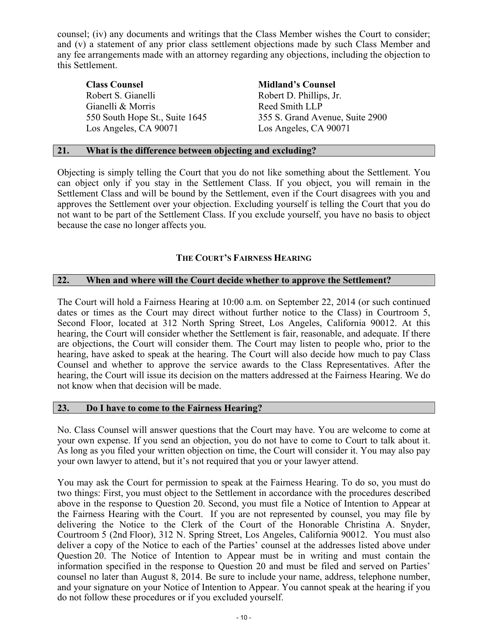counsel; (iv) any documents and writings that the Class Member wishes the Court to consider; and (v) a statement of any prior class settlement objections made by such Class Member and any fee arrangements made with an attorney regarding any objections, including the objection to this Settlement.

Robert S. Gianelli Robert D. Phillips, Jr. Gianelli & Morris Reed Smith LLP Los Angeles, CA 90071 Los Angeles, CA 90071

#### **Class Counsel Midland's Counsel**

550 South Hope St., Suite 1645 355 S. Grand Avenue, Suite 2900

# **21. What is the difference between objecting and excluding?**

Objecting is simply telling the Court that you do not like something about the Settlement. You can object only if you stay in the Settlement Class. If you object, you will remain in the Settlement Class and will be bound by the Settlement, even if the Court disagrees with you and approves the Settlement over your objection. Excluding yourself is telling the Court that you do not want to be part of the Settlement Class. If you exclude yourself, you have no basis to object because the case no longer affects you.

# **THE COURT'S FAIRNESS HEARING**

# **22. When and where will the Court decide whether to approve the Settlement?**

The Court will hold a Fairness Hearing at 10:00 a.m. on September 22, 2014 (or such continued dates or times as the Court may direct without further notice to the Class) in Courtroom 5, Second Floor, located at 312 North Spring Street, Los Angeles, California 90012. At this hearing, the Court will consider whether the Settlement is fair, reasonable, and adequate. If there are objections, the Court will consider them. The Court may listen to people who, prior to the hearing, have asked to speak at the hearing. The Court will also decide how much to pay Class Counsel and whether to approve the service awards to the Class Representatives. After the hearing, the Court will issue its decision on the matters addressed at the Fairness Hearing. We do not know when that decision will be made.

# **23. Do I have to come to the Fairness Hearing?**

No. Class Counsel will answer questions that the Court may have. You are welcome to come at your own expense. If you send an objection, you do not have to come to Court to talk about it. As long as you filed your written objection on time, the Court will consider it. You may also pay your own lawyer to attend, but it's not required that you or your lawyer attend.

You may ask the Court for permission to speak at the Fairness Hearing. To do so, you must do two things: First, you must object to the Settlement in accordance with the procedures described above in the response to Question 20. Second, you must file a Notice of Intention to Appear at the Fairness Hearing with the Court. If you are not represented by counsel, you may file by delivering the Notice to the Clerk of the Court of the Honorable Christina A. Snyder, Courtroom 5 (2nd Floor), 312 N. Spring Street, Los Angeles, California 90012. You must also deliver a copy of the Notice to each of the Parties' counsel at the addresses listed above under Question 20. The Notice of Intention to Appear must be in writing and must contain the information specified in the response to Question 20 and must be filed and served on Parties' counsel no later than August 8, 2014. Be sure to include your name, address, telephone number, and your signature on your Notice of Intention to Appear. You cannot speak at the hearing if you do not follow these procedures or if you excluded yourself.